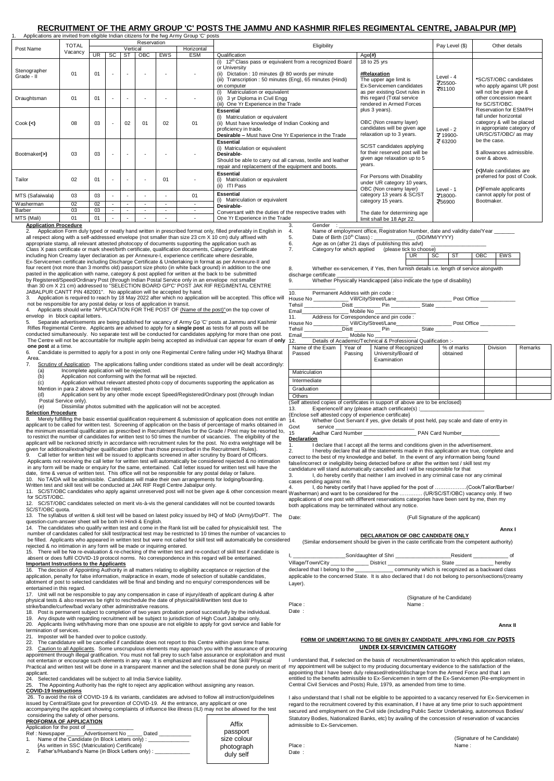## **RECRUITMENT OF THE ARMY GROUP 'C' POSTS THE JAMMU AND KASHMIR RIFLES REGIMENTAL CENTRE, JABALPUR (MP)**

23. Caution to all Applicants. Some unscrupulous elements may approach you with the assurance of procuring appointment through illegal gratification. You must not fall prey to such false assurance or exploitation and must

- Application for the post of \_\_\_\_\_\_\_\_\_\_\_\_\_\_\_\_ \_\_\_\_Advertisement No \_\_\_\_\_\_ Dated \_
- 1. Name of the Candidate (in Block Letters only) : {As written in SSC (Matriculation) Certificate}
- Father's/Husband's Name (in Block Letters only) :

Village/Town/City \_\_\_\_\_\_\_\_\_\_\_\_\_ District \_\_\_\_\_\_\_\_\_\_\_\_\_\_\_\_\_\_ State \_\_\_\_\_\_\_\_\_\_\_\_\_ hereby declared that I belong to the \_\_\_\_\_\_\_\_\_\_\_\_\_\_\_ community which is recognized as a backward class

**Important Instructions to the Applicants**  16. The decision of Appointing Authority in all matters relating to eligibility acceptance or rejection of the application, penalty for false information, malpractice in exam, mode of selection of suitable candidates, allotment of post to selected candidates will be final and binding and no enquiry/ correspondences will be entertained in this regard.

17. Unit will not be responsible to pay any compensation in case of injury/death of applicant during & after physical tests & also reserves be right to reschedule the date of physical/skill/written test due to strike/bandle/curfew/bad wx/any other administrative reasons.

- 18. Post is permanent subject to completion of two years probation period successfully by the individual.
- 19. Any dispute with regarding recruitment will be subject to jurisdiction of High Court Jabalpur only.

(Signature of he Candidate) Place : Name : Name : Name : Name : Name : Name : Name : Name : Name : Name : Name : Name : Name : Name : Name :  $N$ 

20. Applicants living with/having more than one spouse are not eligible to apply for govt service and liable for termination of services.

- 21. Imposter will be handed over to police custody.
- 22. The candidature will be cancelled if candidate does not report to this Centre within given time frame.

not entertain or encourage such elements in any way. It is emphasized and reassured that Skill/ Physical/ Practical and written test will be done in a transparent manner and the selection shall be done purely on merit of my appointment will be subject to my producing documentary evidence to the satisfaction of the applicant.

24. Selected candidates will be subject to all India Service liability.

25. The Appointing Authority has the right to reject any application without assigning any reason. **COVID-19 Instructions**

26. To avoid the risk of COVID-19 & its variants, candidates are advised to follow all instruction/guidelines issued by Central/State govt for prevention of COVID-19. At the entrance, any applicant or one accompanying the applicant showing complaints of influence like illness (ILI) may not be allowed for the test considering the safety of other persons.

| Applications are invited from eligible Indian citizens for the fwg Army Group 'C' posts                                                                                                                                                                                                                                                                                                                                                                                      |                                                                                                                                                                                                                                      |                                       |        |                  |        |                          |                                                                                                          |                                                                                                                                                                                                                                      |                                                                                                                                                                                                                                                                                    |                                                                                                                   |                                                                                                                                                                                                 |                                                                                                               |                                                   |                                                    |  |  |  |
|------------------------------------------------------------------------------------------------------------------------------------------------------------------------------------------------------------------------------------------------------------------------------------------------------------------------------------------------------------------------------------------------------------------------------------------------------------------------------|--------------------------------------------------------------------------------------------------------------------------------------------------------------------------------------------------------------------------------------|---------------------------------------|--------|------------------|--------|--------------------------|----------------------------------------------------------------------------------------------------------|--------------------------------------------------------------------------------------------------------------------------------------------------------------------------------------------------------------------------------------|------------------------------------------------------------------------------------------------------------------------------------------------------------------------------------------------------------------------------------------------------------------------------------|-------------------------------------------------------------------------------------------------------------------|-------------------------------------------------------------------------------------------------------------------------------------------------------------------------------------------------|---------------------------------------------------------------------------------------------------------------|---------------------------------------------------|----------------------------------------------------|--|--|--|
| Post Name                                                                                                                                                                                                                                                                                                                                                                                                                                                                    | <b>TOTAL</b><br>Vacancy                                                                                                                                                                                                              | Reservation<br>Vertical<br>Horizontal |        |                  |        |                          |                                                                                                          |                                                                                                                                                                                                                                      | Eligibility                                                                                                                                                                                                                                                                        |                                                                                                                   |                                                                                                                                                                                                 |                                                                                                               | Pay Level (\$)                                    | Other details                                      |  |  |  |
|                                                                                                                                                                                                                                                                                                                                                                                                                                                                              |                                                                                                                                                                                                                                      | <b>UR</b>                             | SC     | <b>ST</b>        | OBC    | <b>EWS</b>               | <b>ESM</b>                                                                                               | Qualification                                                                                                                                                                                                                        |                                                                                                                                                                                                                                                                                    |                                                                                                                   | $\overline{Age(H)}$                                                                                                                                                                             |                                                                                                               |                                                   |                                                    |  |  |  |
|                                                                                                                                                                                                                                                                                                                                                                                                                                                                              |                                                                                                                                                                                                                                      |                                       |        |                  |        |                          |                                                                                                          | (i) 12 <sup>th</sup> Class pass or equivalent from a recognized Board                                                                                                                                                                |                                                                                                                                                                                                                                                                                    |                                                                                                                   |                                                                                                                                                                                                 | 18 to 25 yrs                                                                                                  |                                                   |                                                    |  |  |  |
| Stenographer                                                                                                                                                                                                                                                                                                                                                                                                                                                                 | 01                                                                                                                                                                                                                                   | 01                                    |        |                  |        |                          |                                                                                                          | or University<br>(ii) Dictation : 10 minutes @ 80 words per minute<br>(iii) Transcription : 50 minutes (Eng), 65 minutes (Hindi)                                                                                                     |                                                                                                                                                                                                                                                                                    |                                                                                                                   | <b>#Relaxation</b>                                                                                                                                                                              | Level - 4<br>₹25500-<br>₹81100                                                                                |                                                   |                                                    |  |  |  |
| Grade - II                                                                                                                                                                                                                                                                                                                                                                                                                                                                   |                                                                                                                                                                                                                                      |                                       |        |                  |        |                          |                                                                                                          |                                                                                                                                                                                                                                      |                                                                                                                                                                                                                                                                                    |                                                                                                                   | The upper age limit is                                                                                                                                                                          |                                                                                                               | *SC/ST/OBC candidates                             |                                                    |  |  |  |
|                                                                                                                                                                                                                                                                                                                                                                                                                                                                              |                                                                                                                                                                                                                                      |                                       |        |                  |        |                          |                                                                                                          | on computer<br>(i) Matriculation or equivalent                                                                                                                                                                                       |                                                                                                                                                                                                                                                                                    |                                                                                                                   |                                                                                                                                                                                                 |                                                                                                               | Ex-Servicemen candidates                          | who apply against UR post                          |  |  |  |
| Draughtsman                                                                                                                                                                                                                                                                                                                                                                                                                                                                  | 01                                                                                                                                                                                                                                   | 01                                    |        | $\sim$           | $\sim$ | $\overline{\phantom{a}}$ | $\sim$                                                                                                   | (ii) 3 yr Diploma in Civil Engg<br>(iii) One Yr Experience in the Trade                                                                                                                                                              |                                                                                                                                                                                                                                                                                    |                                                                                                                   | as per existing Govt rules in<br>this regard (Total service                                                                                                                                     |                                                                                                               | will not be given age &<br>other concession meant |                                                    |  |  |  |
|                                                                                                                                                                                                                                                                                                                                                                                                                                                                              |                                                                                                                                                                                                                                      |                                       |        |                  |        |                          |                                                                                                          |                                                                                                                                                                                                                                      |                                                                                                                                                                                                                                                                                    |                                                                                                                   | rendered in Armed Forces                                                                                                                                                                        |                                                                                                               | for SC/ST/OBC.                                    |                                                    |  |  |  |
|                                                                                                                                                                                                                                                                                                                                                                                                                                                                              |                                                                                                                                                                                                                                      |                                       |        |                  |        |                          |                                                                                                          | <b>Essential</b>                                                                                                                                                                                                                     |                                                                                                                                                                                                                                                                                    |                                                                                                                   | plus 3 years).                                                                                                                                                                                  |                                                                                                               | Reservation for ESM/PH                            |                                                    |  |  |  |
| Cook <                                                                                                                                                                                                                                                                                                                                                                                                                                                                       | 08                                                                                                                                                                                                                                   | 03                                    |        | 02               | 01     | 02                       | 01                                                                                                       | (i) Matriculation or equivalent                                                                                                                                                                                                      |                                                                                                                                                                                                                                                                                    |                                                                                                                   |                                                                                                                                                                                                 | OBC (Non creamy layer)                                                                                        |                                                   | fall under horizontal<br>category & will be placed |  |  |  |
|                                                                                                                                                                                                                                                                                                                                                                                                                                                                              |                                                                                                                                                                                                                                      |                                       |        |                  |        |                          |                                                                                                          | (ii) Must have knowledge of Indian Cooking and<br>proficiency in trade.                                                                                                                                                              |                                                                                                                                                                                                                                                                                    |                                                                                                                   | candidates will be given age                                                                                                                                                                    | Level - $2$                                                                                                   | in appropriate category of                        |                                                    |  |  |  |
|                                                                                                                                                                                                                                                                                                                                                                                                                                                                              |                                                                                                                                                                                                                                      |                                       |        |                  |        |                          |                                                                                                          | <b>Desirable - Must have One Yr Experience in the Trade</b>                                                                                                                                                                          |                                                                                                                                                                                                                                                                                    |                                                                                                                   |                                                                                                                                                                                                 | relaxation up to 3 years.                                                                                     | ₹ 19900-                                          | UR/SC/ST/OBC/ as may                               |  |  |  |
|                                                                                                                                                                                                                                                                                                                                                                                                                                                                              |                                                                                                                                                                                                                                      | 03                                    |        | $\blacksquare$   |        |                          |                                                                                                          | <b>Essential</b>                                                                                                                                                                                                                     | SC/ST candidates applying                                                                                                                                                                                                                                                          |                                                                                                                   |                                                                                                                                                                                                 | ₹ 63200                                                                                                       | be the case.                                      |                                                    |  |  |  |
| Bootmaker(>)                                                                                                                                                                                                                                                                                                                                                                                                                                                                 | 03                                                                                                                                                                                                                                   |                                       |        |                  |        |                          |                                                                                                          | (i) Matriculation or equivalent<br>Desirable-                                                                                                                                                                                        |                                                                                                                                                                                                                                                                                    |                                                                                                                   | for their reserved post will be                                                                                                                                                                 |                                                                                                               | \$ allowances admissible.                         |                                                    |  |  |  |
|                                                                                                                                                                                                                                                                                                                                                                                                                                                                              |                                                                                                                                                                                                                                      |                                       |        |                  |        |                          |                                                                                                          | Should be able to carry out all canvas, textile and leather                                                                                                                                                                          |                                                                                                                                                                                                                                                                                    |                                                                                                                   | given age relaxation up to 5                                                                                                                                                                    |                                                                                                               | over & above.                                     |                                                    |  |  |  |
|                                                                                                                                                                                                                                                                                                                                                                                                                                                                              |                                                                                                                                                                                                                                      |                                       |        |                  |        |                          |                                                                                                          | repair and replacement of the equipment and boots.                                                                                                                                                                                   |                                                                                                                                                                                                                                                                                    |                                                                                                                   | years.                                                                                                                                                                                          |                                                                                                               |                                                   | (<)Male candidates are                             |  |  |  |
|                                                                                                                                                                                                                                                                                                                                                                                                                                                                              | 02                                                                                                                                                                                                                                   | 01                                    |        |                  |        |                          |                                                                                                          | <b>Essential</b>                                                                                                                                                                                                                     |                                                                                                                                                                                                                                                                                    | For Persons with Disability<br>under UR category 10 years,<br>OBC (Non creamy layer)<br>category 13 years & SC/ST |                                                                                                                                                                                                 |                                                                                                               | preferred for post of Cook.                       |                                                    |  |  |  |
| Tailor                                                                                                                                                                                                                                                                                                                                                                                                                                                                       |                                                                                                                                                                                                                                      |                                       |        | $\sim$           |        | 01                       |                                                                                                          | (i) Matriculation or equivalent<br>(ii) ITI Pass                                                                                                                                                                                     |                                                                                                                                                                                                                                                                                    |                                                                                                                   |                                                                                                                                                                                                 |                                                                                                               | Level - 1                                         |                                                    |  |  |  |
|                                                                                                                                                                                                                                                                                                                                                                                                                                                                              |                                                                                                                                                                                                                                      |                                       |        |                  |        |                          |                                                                                                          | <b>Essential</b>                                                                                                                                                                                                                     |                                                                                                                                                                                                                                                                                    |                                                                                                                   |                                                                                                                                                                                                 |                                                                                                               |                                                   | (>)Female applicants<br>cannot apply for post of   |  |  |  |
| MTS (Safaiwala)                                                                                                                                                                                                                                                                                                                                                                                                                                                              | 03                                                                                                                                                                                                                                   | 03                                    |        |                  |        |                          | 01                                                                                                       | (i) Matriculation or equivalent                                                                                                                                                                                                      |                                                                                                                                                                                                                                                                                    |                                                                                                                   |                                                                                                                                                                                                 | ₹18000-<br>category 15 years.<br>₹56900                                                                       |                                                   | Bootmaker.                                         |  |  |  |
| Washerman<br>Barber                                                                                                                                                                                                                                                                                                                                                                                                                                                          | 02<br>03                                                                                                                                                                                                                             | 02<br>03                              | $\sim$ | $\sim$<br>$\sim$ | $\sim$ | $\sim$<br>$\sim$         | $\sim$<br>$\sim$                                                                                         | Desirable-                                                                                                                                                                                                                           |                                                                                                                                                                                                                                                                                    |                                                                                                                   |                                                                                                                                                                                                 |                                                                                                               |                                                   |                                                    |  |  |  |
| MTS (Mali)                                                                                                                                                                                                                                                                                                                                                                                                                                                                   | 01                                                                                                                                                                                                                                   | 01                                    |        |                  |        |                          |                                                                                                          | Conversant with the duties of the respective trades with                                                                                                                                                                             |                                                                                                                                                                                                                                                                                    |                                                                                                                   |                                                                                                                                                                                                 | The date for determining age                                                                                  |                                                   |                                                    |  |  |  |
|                                                                                                                                                                                                                                                                                                                                                                                                                                                                              | One Yr Experience in the Trade<br>limit shall be 18 Apr 22.<br><b>Application Procedure</b><br>Gender :<br>3.                                                                                                                        |                                       |        |                  |        |                          |                                                                                                          |                                                                                                                                                                                                                                      |                                                                                                                                                                                                                                                                                    |                                                                                                                   |                                                                                                                                                                                                 |                                                                                                               |                                                   |                                                    |  |  |  |
| Application Form duly typed or neatly hand written in prescribed format only, filled preferably in English in<br>Name of employment office, Registration Number, date and validity date/Year _____<br>4.<br>2.                                                                                                                                                                                                                                                               |                                                                                                                                                                                                                                      |                                       |        |                  |        |                          |                                                                                                          |                                                                                                                                                                                                                                      |                                                                                                                                                                                                                                                                                    |                                                                                                                   |                                                                                                                                                                                                 |                                                                                                               |                                                   |                                                    |  |  |  |
|                                                                                                                                                                                                                                                                                                                                                                                                                                                                              |                                                                                                                                                                                                                                      |                                       |        |                  |        |                          | all respect along with a self-addressed envelope (not smaller than size 23 cm X 10 cm) duly affixed with | 5.<br>6.                                                                                                                                                                                                                             |                                                                                                                                                                                                                                                                                    |                                                                                                                   | Date of Birth (10 <sup>th</sup> Class): ______________(DD/MM/YYYY)                                                                                                                              |                                                                                                               |                                                   |                                                    |  |  |  |
| appropriate stamp, all relevant attested photocopy of documents supporting the application such as<br>Class X pass certificate or mark sheet/birth certificate, qualification documents, Category Certificate                                                                                                                                                                                                                                                                |                                                                                                                                                                                                                                      |                                       |        |                  |        |                          |                                                                                                          |                                                                                                                                                                                                                                      |                                                                                                                                                                                                                                                                                    |                                                                                                                   |                                                                                                                                                                                                 | Age as on (after 21 days of publishing this advt)<br>Category for which applied (please tick to choose)       |                                                   |                                                    |  |  |  |
| including Non Creamy layer declaration as per Annexure-I, experience certificate where desirable,<br>Ex-Servicemen certificate including Discharge Certificate & Undertaking in format as per Annexure-II and                                                                                                                                                                                                                                                                |                                                                                                                                                                                                                                      |                                       |        |                  |        |                          |                                                                                                          |                                                                                                                                                                                                                                      | 7.                                                                                                                                                                                                                                                                                 |                                                                                                                   |                                                                                                                                                                                                 | UR.                                                                                                           | <b>ST</b><br>SC.                                  | OBC<br>EWS                                         |  |  |  |
|                                                                                                                                                                                                                                                                                                                                                                                                                                                                              |                                                                                                                                                                                                                                      |                                       |        |                  |        |                          |                                                                                                          |                                                                                                                                                                                                                                      |                                                                                                                                                                                                                                                                                    |                                                                                                                   |                                                                                                                                                                                                 |                                                                                                               |                                                   |                                                    |  |  |  |
| four recent (not more than 3 months old) passport size photo (in white back ground) in addition to the one                                                                                                                                                                                                                                                                                                                                                                   |                                                                                                                                                                                                                                      |                                       |        |                  |        |                          |                                                                                                          |                                                                                                                                                                                                                                      | Whether ex-servicemen, if Yes, then furnish details i.e. length of service alongwith<br>8.                                                                                                                                                                                         |                                                                                                                   |                                                                                                                                                                                                 |                                                                                                               |                                                   |                                                    |  |  |  |
| pasted in the application with name, category & post applied for written at the back to be submitted<br>discharge certificate<br>by Registered/Speed/Ordinary Post (through Indian Postal Service only in an envelope not smaller<br>Whether Physically Handicapped (also indicate the type of disability)<br>9.<br>than 30 cm X 21 cm) addressed to "SELECTION BOARD GP'C' POST JAK RIF REGIMENTAL CENTRE                                                                   |                                                                                                                                                                                                                                      |                                       |        |                  |        |                          |                                                                                                          |                                                                                                                                                                                                                                      |                                                                                                                                                                                                                                                                                    |                                                                                                                   |                                                                                                                                                                                                 |                                                                                                               |                                                   |                                                    |  |  |  |
|                                                                                                                                                                                                                                                                                                                                                                                                                                                                              |                                                                                                                                                                                                                                      |                                       |        |                  |        |                          |                                                                                                          |                                                                                                                                                                                                                                      |                                                                                                                                                                                                                                                                                    |                                                                                                                   |                                                                                                                                                                                                 |                                                                                                               |                                                   |                                                    |  |  |  |
| JABALPUR CANTT PIN 482001". No application will be accepted by hand.<br>Permanent Address with pin code:<br>10.                                                                                                                                                                                                                                                                                                                                                              |                                                                                                                                                                                                                                      |                                       |        |                  |        |                          |                                                                                                          |                                                                                                                                                                                                                                      |                                                                                                                                                                                                                                                                                    |                                                                                                                   |                                                                                                                                                                                                 |                                                                                                               |                                                   |                                                    |  |  |  |
| 3. Application is required to reach by 18 May 2022 after which no application will be accepted. This office will<br>not be responsible for any postal delay or loss of application in transit.                                                                                                                                                                                                                                                                               |                                                                                                                                                                                                                                      |                                       |        |                  |        |                          |                                                                                                          |                                                                                                                                                                                                                                      |                                                                                                                                                                                                                                                                                    |                                                                                                                   |                                                                                                                                                                                                 |                                                                                                               |                                                   |                                                    |  |  |  |
| 4. Applicants should write "APPLICATION FOR THE POST OF (Name of the post)"on the top cover of<br>envelop in block capital letters.<br>Separate advertisements are being published for vacancy of Army Gp 'C' posts at Jammu and Kashmir<br>5.<br>Rifles Regimental Centre. Applicants are advised to apply for a single post as tests for all posts will be<br>conducted simultaneously. No separate test will be conducted for candidates applying for more than one post. |                                                                                                                                                                                                                                      |                                       |        |                  |        |                          |                                                                                                          |                                                                                                                                                                                                                                      | Email________________ Mobile No ______                                                                                                                                                                                                                                             |                                                                                                                   |                                                                                                                                                                                                 |                                                                                                               |                                                   |                                                    |  |  |  |
|                                                                                                                                                                                                                                                                                                                                                                                                                                                                              |                                                                                                                                                                                                                                      |                                       |        |                  |        |                          |                                                                                                          |                                                                                                                                                                                                                                      | 11.<br>Address for Correspondence and pin code:                                                                                                                                                                                                                                    |                                                                                                                   |                                                                                                                                                                                                 |                                                                                                               |                                                   |                                                    |  |  |  |
|                                                                                                                                                                                                                                                                                                                                                                                                                                                                              |                                                                                                                                                                                                                                      |                                       |        |                  |        |                          |                                                                                                          |                                                                                                                                                                                                                                      |                                                                                                                                                                                                                                                                                    |                                                                                                                   |                                                                                                                                                                                                 |                                                                                                               |                                                   |                                                    |  |  |  |
|                                                                                                                                                                                                                                                                                                                                                                                                                                                                              |                                                                                                                                                                                                                                      |                                       |        |                  |        |                          |                                                                                                          |                                                                                                                                                                                                                                      | Email                                                                                                                                                                                                                                                                              |                                                                                                                   | Mobile No                                                                                                                                                                                       |                                                                                                               |                                                   |                                                    |  |  |  |
|                                                                                                                                                                                                                                                                                                                                                                                                                                                                              | The Centre will not be accountable for multiple appln being accepted as individual can appear for exam of only $12$ .                                                                                                                |                                       |        |                  |        |                          |                                                                                                          |                                                                                                                                                                                                                                      |                                                                                                                                                                                                                                                                                    |                                                                                                                   | Details of Academic/Technical & Professional Qualification :-                                                                                                                                   |                                                                                                               |                                                   |                                                    |  |  |  |
|                                                                                                                                                                                                                                                                                                                                                                                                                                                                              | one post at a time.<br>6. Candidate is permitted to apply for a post in only one Regimental Centre falling under HQ Madhya Bharat                                                                                                    |                                       |        |                  |        |                          |                                                                                                          | Name of the Exam                                                                                                                                                                                                                     | Year of                                                                                                                                                                                                                                                                            | Name of Recognized                                                                                                | % of marks                                                                                                                                                                                      | Division                                                                                                      | Remarks                                           |                                                    |  |  |  |
| Area.                                                                                                                                                                                                                                                                                                                                                                                                                                                                        |                                                                                                                                                                                                                                      |                                       |        |                  |        |                          |                                                                                                          |                                                                                                                                                                                                                                      | Passed                                                                                                                                                                                                                                                                             |                                                                                                                   | Passing                                                                                                                                                                                         | University/Board of<br>Examination                                                                            | obtained                                          |                                                    |  |  |  |
| 7.                                                                                                                                                                                                                                                                                                                                                                                                                                                                           |                                                                                                                                                                                                                                      |                                       |        |                  |        |                          |                                                                                                          | Scrutiny of Application. The applications falling under conditions stated as under will be dealt accordingly:                                                                                                                        |                                                                                                                                                                                                                                                                                    |                                                                                                                   |                                                                                                                                                                                                 |                                                                                                               |                                                   |                                                    |  |  |  |
| Incomplete application will be rejected.<br>(a)                                                                                                                                                                                                                                                                                                                                                                                                                              |                                                                                                                                                                                                                                      |                                       |        |                  |        |                          |                                                                                                          |                                                                                                                                                                                                                                      | Matriculation                                                                                                                                                                                                                                                                      |                                                                                                                   |                                                                                                                                                                                                 |                                                                                                               |                                                   |                                                    |  |  |  |
| Application not conforming with the format will be rejected.<br>(b)<br>Application without relevant attested photo copy of documents supporting the application as<br>(c)                                                                                                                                                                                                                                                                                                    |                                                                                                                                                                                                                                      |                                       |        |                  |        |                          | Intermediate                                                                                             |                                                                                                                                                                                                                                      |                                                                                                                                                                                                                                                                                    |                                                                                                                   |                                                                                                                                                                                                 |                                                                                                               |                                                   |                                                    |  |  |  |
| Mention in para 2 above will be rejected.                                                                                                                                                                                                                                                                                                                                                                                                                                    |                                                                                                                                                                                                                                      |                                       |        |                  |        |                          |                                                                                                          |                                                                                                                                                                                                                                      | Graduation                                                                                                                                                                                                                                                                         |                                                                                                                   |                                                                                                                                                                                                 |                                                                                                               |                                                   |                                                    |  |  |  |
| Application sent by any other mode except Speed/Registered/Ordinary post (through Indian<br>(d)<br>Postal Service only).                                                                                                                                                                                                                                                                                                                                                     |                                                                                                                                                                                                                                      |                                       |        |                  |        |                          |                                                                                                          |                                                                                                                                                                                                                                      | Others                                                                                                                                                                                                                                                                             |                                                                                                                   |                                                                                                                                                                                                 |                                                                                                               |                                                   |                                                    |  |  |  |
| (e)                                                                                                                                                                                                                                                                                                                                                                                                                                                                          |                                                                                                                                                                                                                                      |                                       |        |                  |        |                          | Dissimilar photos submitted with the application will not be accepted.                                   |                                                                                                                                                                                                                                      |                                                                                                                                                                                                                                                                                    |                                                                                                                   |                                                                                                                                                                                                 | (Self attested copies of certificates in support of above are to be enclosed)                                 |                                                   |                                                    |  |  |  |
| <b>Selection Procedure</b>                                                                                                                                                                                                                                                                                                                                                                                                                                                   |                                                                                                                                                                                                                                      |                                       |        |                  |        |                          |                                                                                                          |                                                                                                                                                                                                                                      | 13.                                                                                                                                                                                                                                                                                |                                                                                                                   |                                                                                                                                                                                                 | Experience/if any (please attach certificate(s) :__<br>{Enclose self attested copy of experience certificate} |                                                   |                                                    |  |  |  |
| 8.                                                                                                                                                                                                                                                                                                                                                                                                                                                                           |                                                                                                                                                                                                                                      |                                       |        |                  |        |                          |                                                                                                          | Merely fulfilling the basic essential qualification requirement & submission of application does not entitle an                                                                                                                      | 14.                                                                                                                                                                                                                                                                                |                                                                                                                   |                                                                                                                                                                                                 | Whether Govt Servant if yes, give details of post held, pay scale and date of entry in                        |                                                   |                                                    |  |  |  |
|                                                                                                                                                                                                                                                                                                                                                                                                                                                                              |                                                                                                                                                                                                                                      |                                       |        |                  |        |                          |                                                                                                          | applicant to be called for written test. Screening of application on the basis of percentage of marks obtained in<br>the minimum essential qualification as prescribed in Recruitment Rules for the Grade / Post may be resorted to, | Govt<br>15                                                                                                                                                                                                                                                                         | service                                                                                                           |                                                                                                                                                                                                 |                                                                                                               |                                                   |                                                    |  |  |  |
|                                                                                                                                                                                                                                                                                                                                                                                                                                                                              |                                                                                                                                                                                                                                      |                                       |        |                  |        |                          |                                                                                                          | to restrict the number of candidates for written test to 50 times the number of vacancies. The eligibility of the                                                                                                                    | <b>Declaration</b>                                                                                                                                                                                                                                                                 |                                                                                                                   | Aadhar Card Number                                                                                                                                                                              |                                                                                                               | PAN Card Number                                   |                                                    |  |  |  |
|                                                                                                                                                                                                                                                                                                                                                                                                                                                                              |                                                                                                                                                                                                                                      |                                       |        |                  |        |                          |                                                                                                          | applicant will be reckoned strictly in accordance with recruitment rules for the post. No extra weightage will be                                                                                                                    | 1.                                                                                                                                                                                                                                                                                 |                                                                                                                   |                                                                                                                                                                                                 | I declare that I accept all the terms and conditions given in the advertisement.                              |                                                   |                                                    |  |  |  |
|                                                                                                                                                                                                                                                                                                                                                                                                                                                                              |                                                                                                                                                                                                                                      |                                       |        |                  |        |                          |                                                                                                          | given for additional/extra/higher qualification (other than those prescribed in the Recruitment Rules).                                                                                                                              | 2.<br>I hereby declare that all the statements made in this application are true, complete and                                                                                                                                                                                     |                                                                                                                   |                                                                                                                                                                                                 |                                                                                                               |                                                   |                                                    |  |  |  |
|                                                                                                                                                                                                                                                                                                                                                                                                                                                                              | 9. Call letter for written test will be issued to applicants screened in after scrutiny by Board of Officers.<br>Applicants not receiving the call letter for written test will automatically be considered rejected & no intimation |                                       |        |                  |        |                          |                                                                                                          |                                                                                                                                                                                                                                      |                                                                                                                                                                                                                                                                                    |                                                                                                                   | correct to the best of my knowledge and belief. In the event of any information being found<br>false/incorrect or ineligibility being detected before or after the written test / skill test my |                                                                                                               |                                                   |                                                    |  |  |  |
| in any form will be made or enquiry for the same, entertained. Call letter issued for written test will have the                                                                                                                                                                                                                                                                                                                                                             |                                                                                                                                                                                                                                      |                                       |        |                  |        |                          |                                                                                                          |                                                                                                                                                                                                                                      |                                                                                                                                                                                                                                                                                    | candidature will stand automatically cancelled and I will be responsible for that                                 |                                                                                                                                                                                                 |                                                                                                               |                                                   |                                                    |  |  |  |
| date, time & venue of written test. This office will not be responsible for any postal delay or failure.<br>10. No TA/DA will be admissible. Candidates will make their own arrangements for lodging/boarding.                                                                                                                                                                                                                                                               |                                                                                                                                                                                                                                      |                                       |        |                  |        |                          |                                                                                                          |                                                                                                                                                                                                                                      |                                                                                                                                                                                                                                                                                    | 3.<br>I, do hereby certify that neither I am involved in any criminal case nor any criminal                       |                                                                                                                                                                                                 |                                                                                                               |                                                   |                                                    |  |  |  |
|                                                                                                                                                                                                                                                                                                                                                                                                                                                                              |                                                                                                                                                                                                                                      |                                       |        |                  |        |                          | Written test and skill test will be conducted at JAK RIF Regtl Centre Jabalpur only.                     |                                                                                                                                                                                                                                      | cases pending against me.                                                                                                                                                                                                                                                          |                                                                                                                   |                                                                                                                                                                                                 |                                                                                                               |                                                   |                                                    |  |  |  |
|                                                                                                                                                                                                                                                                                                                                                                                                                                                                              |                                                                                                                                                                                                                                      |                                       |        |                  |        |                          |                                                                                                          |                                                                                                                                                                                                                                      | I, do hereby certify that I have applied for the post of (Cook/Tailor/Barber/<br>4.<br>11. SC/ST/OBC candidates who apply against unreserved post will not be given age & other concession meant Washerman) and want to be considered for the  (UR/SC/ST/OBC) vacancy only. If two |                                                                                                                   |                                                                                                                                                                                                 |                                                                                                               |                                                   |                                                    |  |  |  |
| for SC/ST/OBC.                                                                                                                                                                                                                                                                                                                                                                                                                                                               |                                                                                                                                                                                                                                      |                                       |        |                  |        |                          |                                                                                                          |                                                                                                                                                                                                                                      |                                                                                                                                                                                                                                                                                    |                                                                                                                   |                                                                                                                                                                                                 | applications of one post with different reservations categories have been sent by me, then my                 |                                                   |                                                    |  |  |  |
| SC/ST/OBC quota.                                                                                                                                                                                                                                                                                                                                                                                                                                                             |                                                                                                                                                                                                                                      |                                       |        |                  |        |                          | 12. SC/ST/OBC candidates selected on merit vis-à-vis the general candidates will not be counted towards  |                                                                                                                                                                                                                                      |                                                                                                                                                                                                                                                                                    |                                                                                                                   | both applications may be terminated without any notice.                                                                                                                                         |                                                                                                               |                                                   |                                                    |  |  |  |
|                                                                                                                                                                                                                                                                                                                                                                                                                                                                              |                                                                                                                                                                                                                                      |                                       |        |                  |        |                          |                                                                                                          | 13. The syllabus of written & skill test will be based on latest policy issued by IHQ of MoD (Army)/DoPT. The                                                                                                                        | Date:                                                                                                                                                                                                                                                                              |                                                                                                                   |                                                                                                                                                                                                 |                                                                                                               | (Full Signature of the applicant)                 |                                                    |  |  |  |
| question-cum-answer sheet will be both in Hindi & English.                                                                                                                                                                                                                                                                                                                                                                                                                   |                                                                                                                                                                                                                                      |                                       |        |                  |        |                          |                                                                                                          |                                                                                                                                                                                                                                      |                                                                                                                                                                                                                                                                                    |                                                                                                                   |                                                                                                                                                                                                 |                                                                                                               |                                                   |                                                    |  |  |  |
|                                                                                                                                                                                                                                                                                                                                                                                                                                                                              |                                                                                                                                                                                                                                      |                                       |        |                  |        |                          |                                                                                                          | 14. The candidates who qualify written test and come in the Rank list will be called for physical/skill test. The                                                                                                                    |                                                                                                                                                                                                                                                                                    |                                                                                                                   |                                                                                                                                                                                                 |                                                                                                               |                                                   | Annx I                                             |  |  |  |
| number of candidates called for skill test/practical test may be restricted to 10 times the number of vacancies to<br>DECLARATION OF OBC CANDIDATE ONLY<br>be filled. Applicants who appeared in written test but were not called for skill test will automatically be considered<br>(Similar endorsement should be given in the caste certificate from the competent authority)                                                                                             |                                                                                                                                                                                                                                      |                                       |        |                  |        |                          |                                                                                                          |                                                                                                                                                                                                                                      |                                                                                                                                                                                                                                                                                    |                                                                                                                   |                                                                                                                                                                                                 |                                                                                                               |                                                   |                                                    |  |  |  |
| rejected & no intimation in any form will be made or inquiring entered.                                                                                                                                                                                                                                                                                                                                                                                                      |                                                                                                                                                                                                                                      |                                       |        |                  |        |                          |                                                                                                          |                                                                                                                                                                                                                                      |                                                                                                                                                                                                                                                                                    |                                                                                                                   |                                                                                                                                                                                                 |                                                                                                               |                                                   |                                                    |  |  |  |
|                                                                                                                                                                                                                                                                                                                                                                                                                                                                              |                                                                                                                                                                                                                                      |                                       |        |                  |        |                          |                                                                                                          | 15. There will be No re-evaluation & re-checking of the written test and re-conduct of skill test if candidate is<br>absent or does fulfil COVID-19 protocol norms. No correspondence in this regard will be entertained.            |                                                                                                                                                                                                                                                                                    |                                                                                                                   |                                                                                                                                                                                                 | Son/daughter of Shri ______________                                                                           | Resident                                          | of                                                 |  |  |  |
|                                                                                                                                                                                                                                                                                                                                                                                                                                                                              |                                                                                                                                                                                                                                      |                                       |        |                  |        |                          |                                                                                                          |                                                                                                                                                                                                                                      |                                                                                                                                                                                                                                                                                    |                                                                                                                   |                                                                                                                                                                                                 |                                                                                                               |                                                   |                                                    |  |  |  |

### **PROFORMA OF APPLICATION**

applicable to the concerned State. It is also declared that I do not belong to person/sections/(creamy Layer).

(Signature of he Candidate)

**Annx II** 

## **FORM OF UNDERTAKING TO BE GIVEN BY CANDIDATE APPLYING FOR CIV POSTS UNDER EX-SERVICEMEN CATEGORY**

I understand that, if selected on the basis of recruitment/examination to which this application relates, appointing that I have been duly released/retired/discharge from the Armed Force and that I am entitled to the benefits admissible to Ex-Servicemen in term of the Ex-Servicemen (Re-employment in Central Civil Services and Posts) Rule, 1979, as amended from time to time.

I also understand that I shall not be eligible to be appointed to a vacancy reserved for Ex-Servicemen in regard to the recruitment covered by this examination, if I have at any time prior to such appointment secured and employment on the Civil side (including Public Sector Undertaking, autonomous Bodies/ Statutory Bodies, Nationalized Banks, etc) by availing of the concession of reservation of vacancies admissible to Ex-Servicemen.

Affix passport size colour photograph duly self attested

Place : Name : Name : Name : Name : Name : Name : Name : Name : Name : Name : Name : Name : Name : Name :  $\mathbb{R}^2$ Date :

Date :